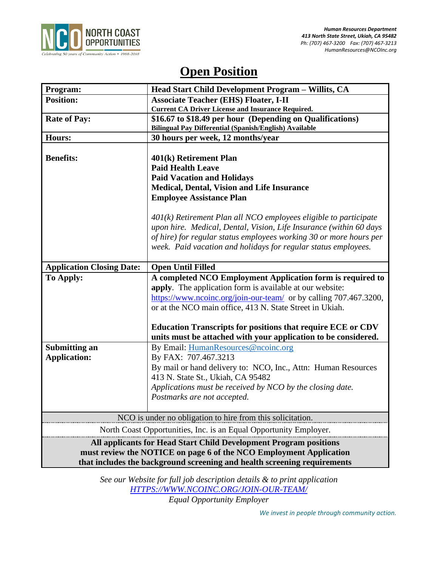

# **Open Position**

| Program:                                                                 | Head Start Child Development Program - Willits, CA                 |
|--------------------------------------------------------------------------|--------------------------------------------------------------------|
| <b>Position:</b>                                                         | <b>Associate Teacher (EHS) Floater, I-II</b>                       |
|                                                                          | <b>Current CA Driver License and Insurance Required.</b>           |
| <b>Rate of Pay:</b>                                                      | \$16.67 to \$18.49 per hour (Depending on Qualifications)          |
|                                                                          | Bilingual Pay Differential (Spanish/English) Available             |
| Hours:                                                                   | 30 hours per week, 12 months/year                                  |
|                                                                          |                                                                    |
| <b>Benefits:</b>                                                         | 401(k) Retirement Plan                                             |
|                                                                          | <b>Paid Health Leave</b>                                           |
|                                                                          | <b>Paid Vacation and Holidays</b>                                  |
|                                                                          | <b>Medical, Dental, Vision and Life Insurance</b>                  |
|                                                                          | <b>Employee Assistance Plan</b>                                    |
|                                                                          |                                                                    |
|                                                                          | $401(k)$ Retirement Plan all NCO employees eligible to participate |
|                                                                          | upon hire. Medical, Dental, Vision, Life Insurance (within 60 days |
|                                                                          | of hire) for regular status employees working 30 or more hours per |
|                                                                          | week. Paid vacation and holidays for regular status employees.     |
|                                                                          |                                                                    |
| <b>Application Closing Date:</b>                                         | <b>Open Until Filled</b>                                           |
| To Apply:                                                                | A completed NCO Employment Application form is required to         |
|                                                                          | apply. The application form is available at our website:           |
|                                                                          | https://www.ncoinc.org/join-our-team/ or by calling 707.467.3200,  |
|                                                                          | or at the NCO main office, 413 N. State Street in Ukiah.           |
|                                                                          |                                                                    |
|                                                                          | <b>Education Transcripts for positions that require ECE or CDV</b> |
|                                                                          | units must be attached with your application to be considered.     |
| <b>Submitting an</b>                                                     | By Email: HumanResources@ncoinc.org                                |
| <b>Application:</b>                                                      | By FAX: 707.467.3213                                               |
|                                                                          | By mail or hand delivery to: NCO, Inc., Attn: Human Resources      |
|                                                                          | 413 N. State St., Ukiah, CA 95482                                  |
|                                                                          | Applications must be received by NCO by the closing date.          |
|                                                                          | Postmarks are not accepted.                                        |
|                                                                          |                                                                    |
| NCO is under no obligation to hire from this solicitation.               |                                                                    |
| North Coast Opportunities, Inc. is an Equal Opportunity Employer.        |                                                                    |
| All applicants for Head Start Child Development Program positions        |                                                                    |
| must review the NOTICE on page 6 of the NCO Employment Application       |                                                                    |
| that includes the background screening and health screening requirements |                                                                    |
|                                                                          |                                                                    |

*See our Website for full job description details & to print application [HTTPS://WWW.NCOINC.ORG/JOIN-OUR-TEAM/](https://www.ncoinc.org/join-our-team/) Equal Opportunity Employer*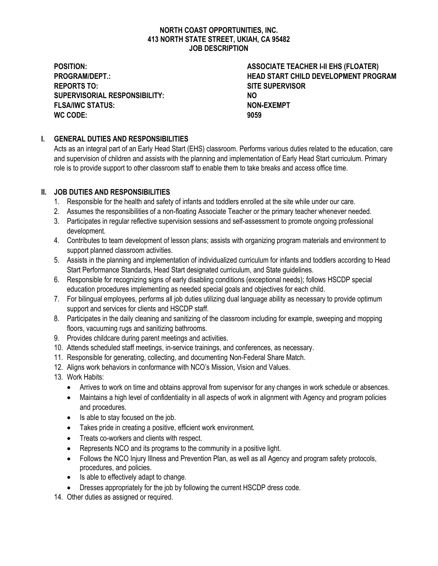#### **NORTH COAST OPPORTUNITIES, INC. 413 NORTH STATE STREET, UKIAH, CA 95482 JOB DESCRIPTION**

**REPORTS TO: SITE SUPERVISOR SUPERVISORIAL RESPONSIBILITY: NO FLSA/IWC STATUS: NON-EXEMPT WC CODE: 9059**

**POSITION: ASSOCIATE TEACHER I-II EHS (FLOATER) PROGRAM/DEPT.: HEAD START CHILD DEVELOPMENT PROGRAM**

# **I. GENERAL DUTIES AND RESPONSIBILITIES**

Acts as an integral part of an Early Head Start (EHS) classroom. Performs various duties related to the education, care and supervision of children and assists with the planning and implementation of Early Head Start curriculum. Primary role is to provide support to other classroom staff to enable them to take breaks and access office time.

# **II. JOB DUTIES AND RESPONSIBILITIES**

- 1. Responsible for the health and safety of infants and toddlers enrolled at the site while under our care.
- 2. Assumes the responsibilities of a non-floating Associate Teacher or the primary teacher whenever needed.
- 3. Participates in regular reflective supervision sessions and self-assessment to promote ongoing professional development.
- 4. Contributes to team development of lesson plans; assists with organizing program materials and environment to support planned classroom activities.
- 5. Assists in the planning and implementation of individualized curriculum for infants and toddlers according to Head Start Performance Standards, Head Start designated curriculum, and State guidelines.
- 6. Responsible for recognizing signs of early disabling conditions (exceptional needs); follows HSCDP special education procedures implementing as needed special goals and objectives for each child.
- 7. For bilingual employees, performs all job duties utilizing dual language ability as necessary to provide optimum support and services for clients and HSCDP staff.
- 8. Participates in the daily cleaning and sanitizing of the classroom including for example, sweeping and mopping floors, vacuuming rugs and sanitizing bathrooms.
- 9. Provides childcare during parent meetings and activities.
- 10. Attends scheduled staff meetings, in-service trainings, and conferences, as necessary.
- 11. Responsible for generating, collecting, and documenting Non-Federal Share Match.
- 12. Aligns work behaviors in conformance with NCO's Mission, Vision and Values.
- 13. Work Habits:
	- Arrives to work on time and obtains approval from supervisor for any changes in work schedule or absences.
	- Maintains a high level of confidentiality in all aspects of work in alignment with Agency and program policies and procedures.
	- Is able to stay focused on the job.
	- Takes pride in creating a positive, efficient work environment.
	- Treats co-workers and clients with respect.
	- Represents NCO and its programs to the community in a positive light.
	- Follows the NCO Injury Illness and Prevention Plan, as well as all Agency and program safety protocols, procedures, and policies.
	- Is able to effectively adapt to change.
	- Dresses appropriately for the job by following the current HSCDP dress code.

14. Other duties as assigned or required.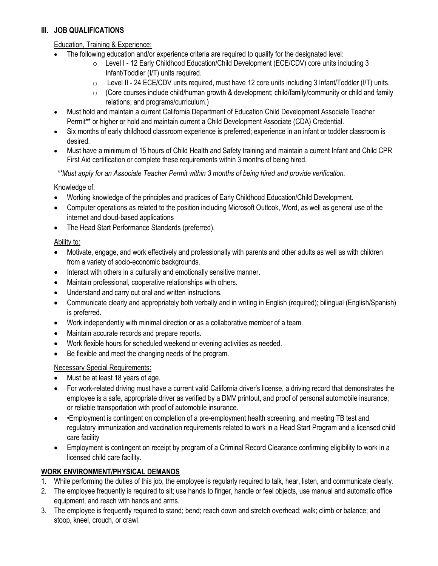#### **III. JOB QUALIFICATIONS**

# Education, Training & Experience:

- The following education and/or experience criteria are required to qualify for the designated level:
	- o Level I 12 Early Childhood Education/Child Development (ECE/CDV) core units including 3 Infant/Toddler (I/T) units required.
	- o Level II 24 ECE/CDV units required, must have 12 core units including 3 Infant/Toddler (I/T) units.
	- $\circ$  (Core courses include child/human growth & development; child/family/community or child and family relations; and programs/curriculum.)
- Must hold and maintain a current California Department of Education Child Development Associate Teacher Permit\*\* or higher or hold and maintain current a Child Development Associate (CDA) Credential.
- Six months of early childhood classroom experience is preferred; experience in an infant or toddler classroom is desired.
- Must have a minimum of 15 hours of Child Health and Safety training and maintain a current Infant and Child CPR First Aid certification or complete these requirements within 3 months of being hired.

*\*\*Must apply for an Associate Teacher Permit within 3 months of being hired and provide verification.*

# Knowledge of:

- Working knowledge of the principles and practices of Early Childhood Education/Child Development.
- Computer operations as related to the position including Microsoft Outlook, Word, as well as general use of the internet and cloud-based applications
- The Head Start Performance Standards (preferred).

# Ability to:

- Motivate, engage, and work effectively and professionally with parents and other adults as well as with children from a variety of socio-economic backgrounds.
- Interact with others in a culturally and emotionally sensitive manner.
- Maintain professional, cooperative relationships with others.
- Understand and carry out oral and written instructions.
- Communicate clearly and appropriately both verbally and in writing in English (required); bilingual (English/Spanish) is preferred.
- Work independently with minimal direction or as a collaborative member of a team.
- Maintain accurate records and prepare reports.
- Work flexible hours for scheduled weekend or evening activities as needed.
- Be flexible and meet the changing needs of the program.

# Necessary Special Requirements:

- Must be at least 18 years of age.
- For work-related driving must have a current valid California driver's license, a driving record that demonstrates the employee is a safe, appropriate driver as verified by a DMV printout, and proof of personal automobile insurance; or reliable transportation with proof of automobile insurance.
- •Employment is contingent on completion of a pre-employment health screening, and meeting TB test and regulatory immunization and vaccination requirements related to work in a Head Start Program and a licensed child care facility
- Employment is contingent on receipt by program of a Criminal Record Clearance confirming eligibility to work in a licensed child care facility.

# **WORK ENVIRONMENT/PHYSICAL DEMANDS**

- 1. While performing the duties of this job, the employee is regularly required to talk, hear, listen, and communicate clearly.
- 2. The employee frequently is required to sit; use hands to finger, handle or feel objects, use manual and automatic office equipment, and reach with hands and arms.
- 3. The employee is frequently required to stand; bend; reach down and stretch overhead; walk; climb or balance; and stoop, kneel, crouch, or crawl.